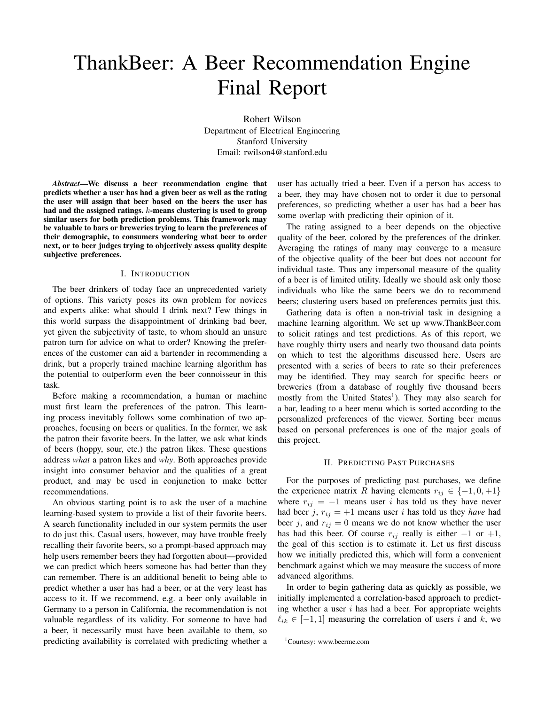# ThankBeer: A Beer Recommendation Engine Final Report

Robert Wilson Department of Electrical Engineering Stanford University Email: rwilson4@stanford.edu

*Abstract*—We discuss a beer recommendation engine that predicts whether a user has had a given beer as well as the rating the user will assign that beer based on the beers the user has had and the assigned ratings. k-means clustering is used to group similar users for both prediction problems. This framework may be valuable to bars or breweries trying to learn the preferences of their demographic, to consumers wondering what beer to order next, or to beer judges trying to objectively assess quality despite subjective preferences.

## I. INTRODUCTION

The beer drinkers of today face an unprecedented variety of options. This variety poses its own problem for novices and experts alike: what should I drink next? Few things in this world surpass the disappointment of drinking bad beer, yet given the subjectivity of taste, to whom should an unsure patron turn for advice on what to order? Knowing the preferences of the customer can aid a bartender in recommending a drink, but a properly trained machine learning algorithm has the potential to outperform even the beer connoisseur in this task.

Before making a recommendation, a human or machine must first learn the preferences of the patron. This learning process inevitably follows some combination of two approaches, focusing on beers or qualities. In the former, we ask the patron their favorite beers. In the latter, we ask what kinds of beers (hoppy, sour, etc.) the patron likes. These questions address *what* a patron likes and *why*. Both approaches provide insight into consumer behavior and the qualities of a great product, and may be used in conjunction to make better recommendations.

An obvious starting point is to ask the user of a machine learning-based system to provide a list of their favorite beers. A search functionality included in our system permits the user to do just this. Casual users, however, may have trouble freely recalling their favorite beers, so a prompt-based approach may help users remember beers they had forgotten about—provided we can predict which beers someone has had better than they can remember. There is an additional benefit to being able to predict whether a user has had a beer, or at the very least has access to it. If we recommend, e.g. a beer only available in Germany to a person in California, the recommendation is not valuable regardless of its validity. For someone to have had a beer, it necessarily must have been available to them, so predicting availability is correlated with predicting whether a user has actually tried a beer. Even if a person has access to a beer, they may have chosen not to order it due to personal preferences, so predicting whether a user has had a beer has some overlap with predicting their opinion of it.

The rating assigned to a beer depends on the objective quality of the beer, colored by the preferences of the drinker. Averaging the ratings of many may converge to a measure of the objective quality of the beer but does not account for individual taste. Thus any impersonal measure of the quality of a beer is of limited utility. Ideally we should ask only those individuals who like the same beers we do to recommend beers; clustering users based on preferences permits just this.

Gathering data is often a non-trivial task in designing a machine learning algorithm. We set up www.ThankBeer.com to solicit ratings and test predictions. As of this report, we have roughly thirty users and nearly two thousand data points on which to test the algorithms discussed here. Users are presented with a series of beers to rate so their preferences may be identified. They may search for specific beers or breweries (from a database of roughly five thousand beers mostly from the United States<sup>1</sup>). They may also search for a bar, leading to a beer menu which is sorted according to the personalized preferences of the viewer. Sorting beer menus based on personal preferences is one of the major goals of this project.

#### II. PREDICTING PAST PURCHASES

For the purposes of predicting past purchases, we define the experience matrix R having elements  $r_{ij} \in \{-1, 0, +1\}$ where  $r_{ij} = -1$  means user i has told us they have never had beer j,  $r_{ij} = +1$  means user i has told us they *have* had beer j, and  $r_{ij} = 0$  means we do not know whether the user has had this beer. Of course  $r_{ij}$  really is either  $-1$  or  $+1$ , the goal of this section is to estimate it. Let us first discuss how we initially predicted this, which will form a convenient benchmark against which we may measure the success of more advanced algorithms.

In order to begin gathering data as quickly as possible, we initially implemented a correlation-based approach to predicting whether a user  $i$  has had a beer. For appropriate weights  $\ell_{ik} \in [-1, 1]$  measuring the correlation of users i and k, we

<sup>1</sup>Courtesy: www.beerme.com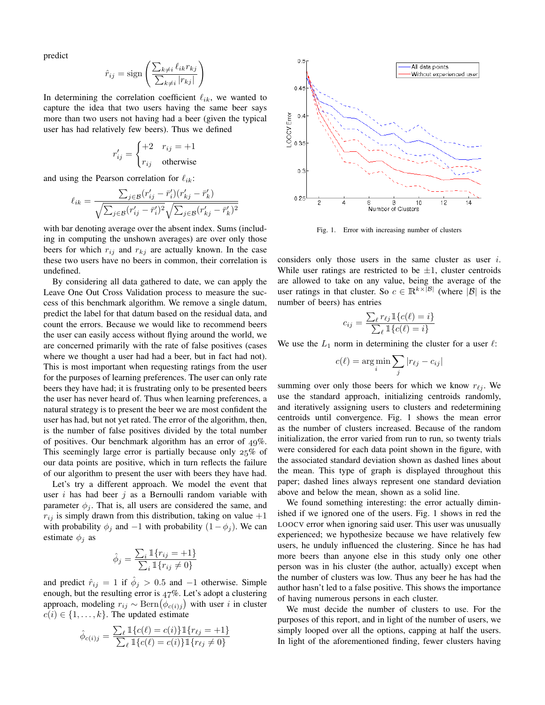predict

$$
\hat{r}_{ij} = \text{sign}\left(\frac{\sum_{k \neq i} \ell_{ik} r_{kj}}{\sum_{k \neq i} |r_{kj}|}\right)
$$

In determining the correlation coefficient  $\ell_{ik}$ , we wanted to capture the idea that two users having the same beer says more than two users not having had a beer (given the typical user has had relatively few beers). Thus we defined

$$
r'_{ij} = \begin{cases} +2 & r_{ij} = +1\\ r_{ij} & \text{otherwise} \end{cases}
$$

and using the Pearson correlation for  $\ell_{ik}$ :

$$
\ell_{ik} = \frac{\sum_{j \in \mathcal{B}} (r'_{ij} - \bar{r}'_i)(r'_{kj} - \bar{r}'_k)}{\sqrt{\sum_{j \in \mathcal{B}} (r'_{ij} - \bar{r}'_i)^2} \sqrt{\sum_{j \in \mathcal{B}} (r'_{kj} - \bar{r}'_k)^2}}
$$

with bar denoting average over the absent index. Sums (including in computing the unshown averages) are over only those beers for which  $r_{ij}$  and  $r_{kj}$  are actually known. In the case these two users have no beers in common, their correlation is undefined.

By considering all data gathered to date, we can apply the Leave One Out Cross Validation process to measure the success of this benchmark algorithm. We remove a single datum, predict the label for that datum based on the residual data, and count the errors. Because we would like to recommend beers the user can easily access without flying around the world, we are concerned primarily with the rate of false positives (cases where we thought a user had had a beer, but in fact had not). This is most important when requesting ratings from the user for the purposes of learning preferences. The user can only rate beers they have had; it is frustrating only to be presented beers the user has never heard of. Thus when learning preferences, a natural strategy is to present the beer we are most confident the user has had, but not yet rated. The error of the algorithm, then, is the number of false positives divided by the total number of positives. Our benchmark algorithm has an error of  $49\%$ . This seemingly large error is partially because only  $25\%$  of our data points are positive, which in turn reflects the failure of our algorithm to present the user with beers they have had.

Let's try a different approach. We model the event that user  $i$  has had beer  $j$  as a Bernoulli random variable with parameter  $\phi_i$ . That is, all users are considered the same, and  $r_{ij}$  is simply drawn from this distribution, taking on value  $+1$ with probability  $\phi_j$  and  $-1$  with probability  $(1-\phi_j)$ . We can estimate  $\phi_j$  as

$$
\hat{\phi}_j = \frac{\sum_i \mathbb{1}\{r_{ij} = +1\}}{\sum_i \mathbb{1}\{r_{ij} \neq 0\}}
$$

and predict  $\hat{r}_{ij} = 1$  if  $\hat{\phi}_j > 0.5$  and  $-1$  otherwise. Simple enough, but the resulting error is  $47\%$ . Let's adopt a clustering approach, modeling  $r_{ij} \sim \text{Bern}(\phi_{c(i)j})$  with user i in cluster  $c(i) \in \{1, \ldots, k\}$ . The updated estimate

$$
\hat{\phi}_{c(i)j} = \frac{\sum_{\ell} \mathbb{1}\{c(\ell) = c(i)\} \mathbb{1}\{r_{\ell j} = +1\}}{\sum_{\ell} \mathbb{1}\{c(\ell) = c(i)\} \mathbb{1}\{r_{\ell j} \neq 0\}}
$$



Fig. 1. Error with increasing number of clusters

considers only those users in the same cluster as user i. While user ratings are restricted to be  $\pm 1$ , cluster centroids are allowed to take on any value, being the average of the user ratings in that cluster. So  $c \in \mathbb{R}^{k \times |\mathcal{B}|}$  (where  $|\mathcal{B}|$  is the number of beers) has entries

$$
c_{ij} = \frac{\sum_{\ell} r_{\ell j} \mathbb{1}\{c(\ell) = i\}}{\sum_{\ell} \mathbb{1}\{c(\ell) = i\}}
$$

We use the  $L_1$  norm in determining the cluster for a user  $\ell$ :

$$
c(\ell) = \arg\min_i \sum_j |r_{\ell j} - c_{ij}|
$$

summing over only those beers for which we know  $r_{\ell j}$ . We use the standard approach, initializing centroids randomly, and iteratively assigning users to clusters and redetermining centroids until convergence. Fig. 1 shows the mean error as the number of clusters increased. Because of the random initialization, the error varied from run to run, so twenty trials were considered for each data point shown in the figure, with the associated standard deviation shown as dashed lines about the mean. This type of graph is displayed throughout this paper; dashed lines always represent one standard deviation above and below the mean, shown as a solid line.

We found something interesting: the error actually diminished if we ignored one of the users. Fig. 1 shows in red the LOOCV error when ignoring said user. This user was unusually experienced; we hypothesize because we have relatively few users, he unduly influenced the clustering. Since he has had more beers than anyone else in this study only one other person was in his cluster (the author, actually) except when the number of clusters was low. Thus any beer he has had the author hasn't led to a false positive. This shows the importance of having numerous persons in each cluster.

We must decide the number of clusters to use. For the purposes of this report, and in light of the number of users, we simply looped over all the options, capping at half the users. In light of the aforementioned finding, fewer clusters having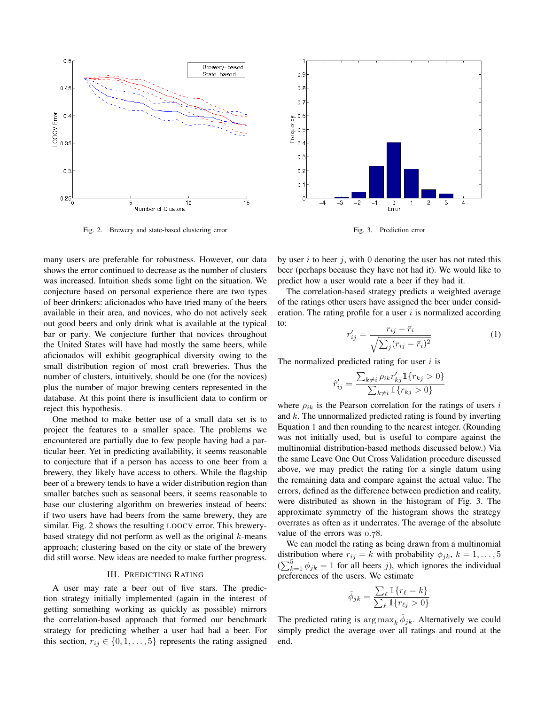

Fig. 2. Brewery and state-based clustering error

many users are preferable for robustness. However, our data shows the error continued to decrease as the number of clusters was increased. Intuition sheds some light on the situation. We conjecture based on personal experience there are two types of beer drinkers: aficionados who have tried many of the beers available in their area, and novices, who do not actively seek out good beers and only drink what is available at the typical bar or party. We conjecture further that novices throughout the United States will have had mostly the same beers, while aficionados will exhibit geographical diversity owing to the small distribution region of most craft breweries. Thus the number of clusters, intuitively, should be one (for the novices) plus the number of major brewing centers represented in the database. At this point there is insufficient data to confirm or reject this hypothesis.

One method to make better use of a small data set is to project the features to a smaller space. The problems we encountered are partially due to few people having had a particular beer. Yet in predicting availability, it seems reasonable to conjecture that if a person has access to one beer from a brewery, they likely have access to others. While the flagship beer of a brewery tends to have a wider distribution region than smaller batches such as seasonal beers, it seems reasonable to base our clustering algorithm on breweries instead of beers: if two users have had beers from the same brewery, they are similar. Fig. 2 shows the resulting LOOCV error. This brewerybased strategy did not perform as well as the original  $k$ -means approach; clustering based on the city or state of the brewery did still worse. New ideas are needed to make further progress.

# III. PREDICTING RATING

A user may rate a beer out of five stars. The prediction strategy initially implemented (again in the interest of getting something working as quickly as possible) mirrors the correlation-based approach that formed our benchmark strategy for predicting whether a user had had a beer. For this section,  $r_{ij} \in \{0, 1, \ldots, 5\}$  represents the rating assigned



Fig. 3. Prediction error

by user  $i$  to beer  $j$ , with 0 denoting the user has not rated this beer (perhaps because they have not had it). We would like to predict how a user would rate a beer if they had it.

The correlation-based strategy predicts a weighted average of the ratings other users have assigned the beer under consideration. The rating profile for a user  $i$  is normalized according to:

$$
r'_{ij} = \frac{r_{ij} - \bar{r}_i}{\sqrt{\sum_j (r_{ij} - \bar{r}_i)^2}}
$$
(1)

The normalized predicted rating for user  $i$  is

$$
\hat{r}'_{ij} = \frac{\sum_{k \neq i} \rho_{ik} r'_{kj} \mathbbm{1}\{r_{kj} > 0\}}{\sum_{k \neq i} \mathbbm{1}\{r_{kj} > 0\}}
$$

where  $\rho_{ik}$  is the Pearson correlation for the ratings of users i and  $k$ . The unnormalized predicted rating is found by inverting Equation 1 and then rounding to the nearest integer. (Rounding was not initially used, but is useful to compare against the multinomial distribution-based methods discussed below.) Via the same Leave One Out Cross Validation procedure discussed above, we may predict the rating for a single datum using the remaining data and compare against the actual value. The errors, defined as the difference between prediction and reality, were distributed as shown in the histogram of Fig. 3. The approximate symmetry of the histogram shows the strategy overrates as often as it underrates. The average of the absolute value of the errors was 0.78.

We can model the rating as being drawn from a multinomial distribution where  $r_{ij} = k$  with probability  $\phi_{jk}$ ,  $k = 1, \ldots, 5$  $(\sum_{k=1}^{5} \phi_{jk} = 1$  for all beers j), which ignores the individual preferences of the users. We estimate

$$
\hat{\phi}_{jk} = \frac{\sum_{\ell} \mathbb{1}\{r_{\ell} = k\}}{\sum_{\ell} \mathbb{1}\{r_{\ell j} > 0\}}
$$

The predicted rating is  $\arg \max_k \hat{\phi}_{jk}$ . Alternatively we could simply predict the average over all ratings and round at the end.